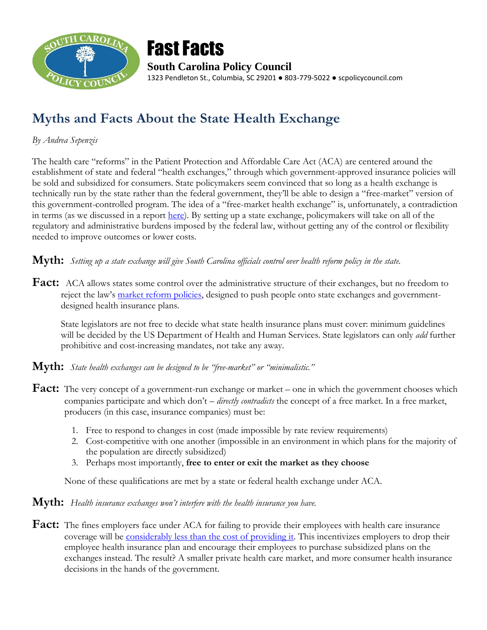



# **Myths and Facts About the State Health Exchange**

# *By Andrea Sepenzis*

The health care "reforms" in the Patient Protection and Affordable Care Act (ACA) are centered around the establishment of state and federal "health exchanges," through which government-approved insurance policies will be sold and subsidized for consumers. State policymakers seem convinced that so long as a health exchange is technically run by the state rather than the federal government, they'll be able to design a "free-market" version of this government-controlled program. The idea of a "free-market health exchange" is, unfortunately, a contradiction in terms (as we discussed in a report [here\)](http://scpolicycouncil.com/research-and-publications-/health-care/1499-free-market-health). By setting up a state exchange, policymakers will take on all of the regulatory and administrative burdens imposed by the federal law, without getting any of the control or flexibility needed to improve outcomes or lower costs.

# **Myth:** *Setting up a state exchange will give South Carolina officials control over health reform policy in the state.*

**Fact:** ACA allows states some control over the administrative structure of their exchanges, but no freedom to reject the law's [market reform policies,](http://doi.sc.gov/Documents/Consumers/Market_Reforms.pdf) designed to push people onto state exchanges and governmentdesigned health insurance plans.

State legislators are not free to decide what state health insurance plans must cover: minimum guidelines will be decided by the US Department of Health and Human Services. State legislators can only *add* further prohibitive and cost-increasing mandates, not take any away.

**Myth:** *State health exchanges can be designed to be "free-market" or "minimalistic."*

- **Fact:** The very concept of a government-run exchange or market one in which the government chooses which companies participate and which don't – *directly contradicts* the concept of a free market. In a free market, producers (in this case, insurance companies) must be:
	- 1. Free to respond to changes in cost (made impossible by rate review requirements)
	- 2. Cost-competitive with one another (impossible in an environment in which plans for the majority of the population are directly subsidized)
	- 3. Perhaps most importantly, **free to enter or exit the market as they choose**

None of these qualifications are met by a state or federal health exchange under ACA.

### **Myth:** *Health insurance exchanges won't interfere with the health insurance you have.*

Fact: The fines employers face under ACA for failing to provide their employees with health care insurance coverage will be [considerably less than the cost of providing it.](http://americanactionforum.org/files/LaborMktsHCRAAF5-27-10.pdf) This incentivizes employers to drop their employee health insurance plan and encourage their employees to purchase subsidized plans on the exchanges instead. The result? A smaller private health care market, and more consumer health insurance decisions in the hands of the government.